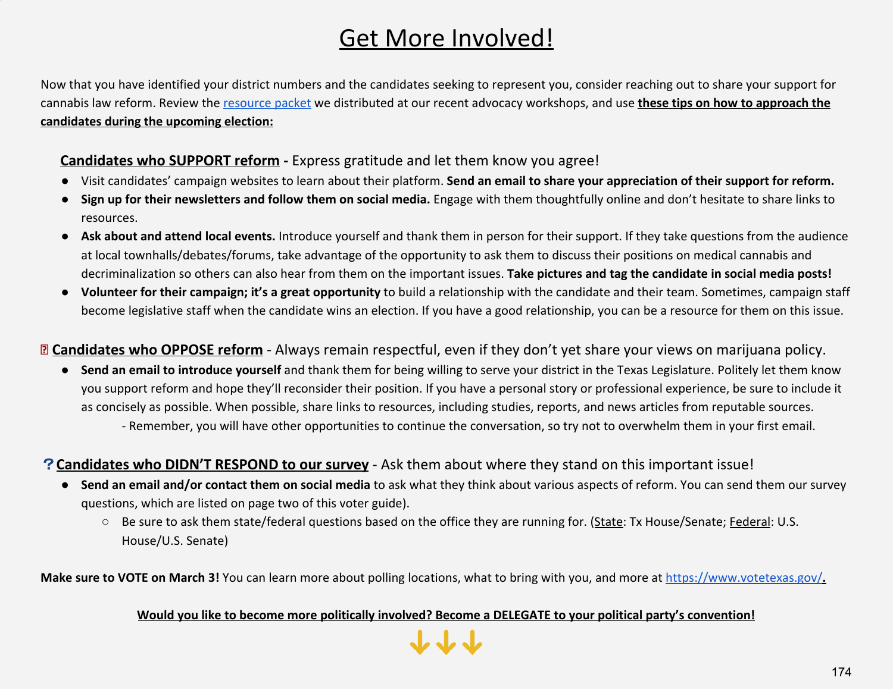# Get More Involved!

Now that you have identified your district numbers and the candidates seeking to represent you, consider reaching out to share your support for cannabis law reform. Review the resource packet we distributed at our recent advocacy workshops, and use **these tips on how to approach the candidates during the upcoming election:**

# ✅**Candidates who SUPPORT reform -** Express gratitude and let them know you agree!

- Visit candidates' campaign websites to learn about their platform. **Send an email to share your appreciation of their support for reform.**
- **Sign up for their newsletters and follow them on social media.** Engage with them thoughtfully online and don't hesitate to share links to resources.
- **Ask about and attend local events.** Introduce yourself and thank them in person for their support. If they take questions from the audience at local townhalls/debates/forums, take advantage of the opportunity to ask them to discuss their positions on medical cannabis and decriminalization so others can also hear from them on the important issues. **Take pictures and tag the candidate in social media posts!**
- **Volunteer for their campaign; it's a great opportunity** to build a relationship with the candidate and their team. Sometimes, campaign staff become legislative staff when the candidate wins an election. If you have a good relationship, you can be a resource for them on this issue.

## **Candidates who OPPOSE reform** - Always remain respectful, even if they don't yet share your views on marijuana policy.

● **Send an email to introduce yourself** and thank them for being willing to serve your district in the Texas Legislature. Politely let them know you support reform and hope they'll reconsider their position. If you have a personal story or professional experience, be sure to include it as concisely as possible. When possible, share links to resources, including studies, reports, and news articles from reputable sources. - Remember, you will have other opportunities to continue the conversation, so try not to overwhelm them in your first email.

### ?**Candidates who DIDN'T RESPOND to our survey** - Ask them about where they stand on this important issue!

- **Send an email and/or contact them on social media** to ask what they think about various aspects of reform. You can send them our survey questions, which are listed on page two of this voter guide).
	- Be sure to ask them state/federal questions based on the office they are running for. (State: Tx House/Senate; Federal: U.S. House/U.S. Senate)

**Make sure to VOTE on March 3!** You can learn more about polling locations, what to bring with you, and more at https://www.votetexas.gov/**.**

#### **Would you like to become more politically involved? Become a DELEGATE to your political party's convention!**